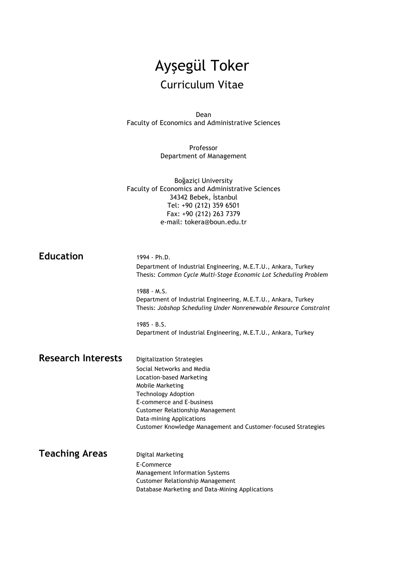# Ayşegül Toker Curriculum Vitae

Dean Faculty of Economics and Administrative Sciences

> Professor Department of Management

Boğaziçi University Faculty of Economics and Administrative Sciences 34342 Bebek, İstanbul Tel: +90 (212) 359 6501 Fax: +90 (212) 263 7379 e-mail: tokera@boun.edu.tr

| <b>Education</b>          | 1994 - Ph.D.<br>Department of Industrial Engineering, M.E.T.U., Ankara, Turkey<br>Thesis: Common Cycle Multi-Stage Economic Lot Scheduling Problem   |
|---------------------------|------------------------------------------------------------------------------------------------------------------------------------------------------|
|                           | $1988 - M.S.$<br>Department of Industrial Engineering, M.E.T.U., Ankara, Turkey<br>Thesis: Jobshop Scheduling Under Nonrenewable Resource Constraint |
|                           | $1985 - B.S.$<br>Department of Industrial Engineering, M.E.T.U., Ankara, Turkey                                                                      |
| <b>Research Interests</b> | <b>Digitalization Strategies</b>                                                                                                                     |
|                           | Social Networks and Media                                                                                                                            |
|                           | Location-based Marketing                                                                                                                             |
|                           | Mobile Marketing                                                                                                                                     |
|                           | <b>Technology Adoption</b>                                                                                                                           |
|                           | E-commerce and E-business                                                                                                                            |
|                           | Customer Relationship Management                                                                                                                     |
|                           | Data-mining Applications                                                                                                                             |
|                           | Customer Knowledge Management and Customer-focused Strategies                                                                                        |
| <b>Teaching Areas</b>     | Digital Marketing                                                                                                                                    |
|                           | E-Commerce                                                                                                                                           |
|                           | Management Information Systems                                                                                                                       |
|                           | <b>Customer Relationship Management</b>                                                                                                              |
|                           | Database Marketing and Data-Mining Applications                                                                                                      |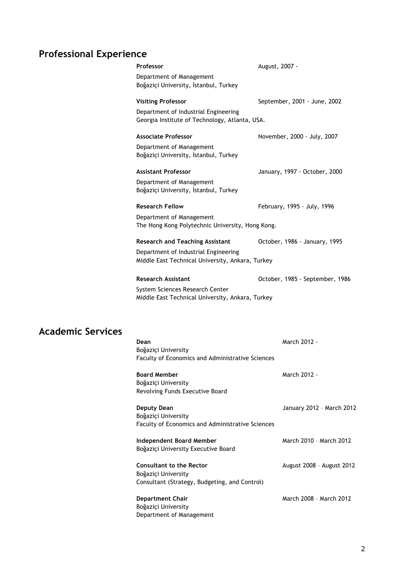## **Professional Experience**

| Professor                                                                                | August, 2007 -                  |
|------------------------------------------------------------------------------------------|---------------------------------|
| Department of Management<br>Boğaziçi University, İstanbul, Turkey                        |                                 |
| <b>Visiting Professor</b>                                                                | September, 2001 - June, 2002    |
| Department of Industrial Engineering<br>Georgia Institute of Technology, Atlanta, USA.   |                                 |
| <b>Associate Professor</b>                                                               | November, 2000 - July, 2007     |
| Department of Management<br>Boğaziçi University, İstanbul, Turkey                        |                                 |
| <b>Assistant Professor</b>                                                               | January, 1997 - October, 2000   |
| Department of Management<br>Boğaziçi University, İstanbul, Turkey                        |                                 |
| <b>Research Fellow</b>                                                                   | February, 1995 - July, 1996     |
| Department of Management<br>The Hong Kong Polytechnic University, Hong Kong.             |                                 |
| <b>Research and Teaching Assistant</b>                                                   | October, 1986 - January, 1995   |
| Department of Industrial Engineering<br>Middle East Technical University, Ankara, Turkey |                                 |
| <b>Research Assistant</b>                                                                | October, 1985 - September, 1986 |
| System Sciences Research Center<br>Middle East Technical University, Ankara, Turkey      |                                 |

### **Academic Services**

| Dean<br>Boğaziçi University                                                                             | March 2012 -              |
|---------------------------------------------------------------------------------------------------------|---------------------------|
| <b>Faculty of Economics and Administrative Sciences</b>                                                 |                           |
| <b>Board Member</b><br>Boğaziçi University<br>Revolving Funds Executive Board                           | March 2012 -              |
| Deputy Dean<br>Boğaziçi University<br><b>Faculty of Economics and Administrative Sciences</b>           | January 2012 - March 2012 |
| Independent Board Member<br>Boğaziçi University Executive Board                                         | March 2010 - March 2012   |
| <b>Consultant to the Rector</b><br>Boğaziçi University<br>Consultant (Strategy, Budgeting, and Control) | August 2008 - August 2012 |
| <b>Department Chair</b><br>Boğaziçi University<br>Department of Management                              | March 2008 - March 2012   |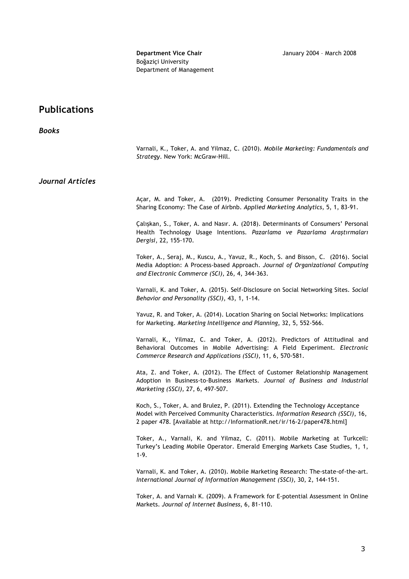**Department Vice Chair January 2004 - March 2008** Boğaziçi University Department of Management

### **Publications**

| <b>Books</b>            |                                                                                                                                                                                                                                                 |
|-------------------------|-------------------------------------------------------------------------------------------------------------------------------------------------------------------------------------------------------------------------------------------------|
|                         | Varnali, K., Toker, A. and Yilmaz, C. (2010). Mobile Marketing: Fundamentals and<br>Strategy. New York: McGraw-Hill.                                                                                                                            |
| <b>Journal Articles</b> |                                                                                                                                                                                                                                                 |
|                         | Açar, M. and Toker, A. (2019). Predicting Consumer Personality Traits in the<br>Sharing Economy: The Case of Airbnb. Applied Marketing Analytics, 5, 1, 83-91.                                                                                  |
|                         | Çalışkan, S., Toker, A. and Nasır. A. (2018). Determinants of Consumers' Personal<br>Health Technology Usage Intentions. Pazarlama ve Pazarlama Araștirmalari<br>Dergisi, 22, 155-170.                                                          |
|                         | Toker, A., Seraj, M., Kuscu, A., Yavuz, R., Koch, S. and Bisson, C. (2016). Social<br>Media Adoption: A Process-based Approach. Journal of Organizational Computing<br>and Electronic Commerce (SCI), 26, 4, 344-363.                           |
|                         | Varnali, K. and Toker, A. (2015). Self-Disclosure on Social Networking Sites. Social<br>Behavior and Personality (SSCI), 43, 1, 1-14.                                                                                                           |
|                         | Yavuz, R. and Toker, A. (2014). Location Sharing on Social Networks: Implications<br>for Marketing. Marketing Intelligence and Planning, 32, 5, 552-566.                                                                                        |
|                         | Varnali, K., Yilmaz, C. and Toker, A. (2012). Predictors of Attitudinal and<br>Behavioral Outcomes in Mobile Advertising: A Field Experiment. Electronic<br>Commerce Research and Applications (SSCI), 11, 6, 570-581.                          |
|                         | Ata, Z. and Toker, A. (2012). The Effect of Customer Relationship Management<br>Adoption in Business-to-Business Markets. Journal of Business and Industrial<br>Marketing (SSCI), 27, 6, 497-507.                                               |
|                         | Koch, S., Toker, A. and Brulez, P. (2011). Extending the Technology Acceptance<br>Model with Perceived Community Characteristics. Information Research (SSCI), 16,<br>2 paper 478. [Available at http://InformationR.net/ir/16-2/paper478.html] |
|                         | Toker, A., Varnali, K. and Yilmaz, C. (2011). Mobile Marketing at Turkcell:<br>Turkey's Leading Mobile Operator. Emerald Emerging Markets Case Studies, 1, 1,<br>$1-9.$                                                                         |
|                         | Varnali, K. and Toker, A. (2010). Mobile Marketing Research: The-state-of-the-art.<br>International Journal of Information Management (SSCI), 30, 2, 144-151.                                                                                   |
|                         | Toker, A. and Varnalı K. (2009). A Framework for E-potential Assessment in Online<br>Markets. Journal of Internet Business, 6, 81-110.                                                                                                          |
|                         |                                                                                                                                                                                                                                                 |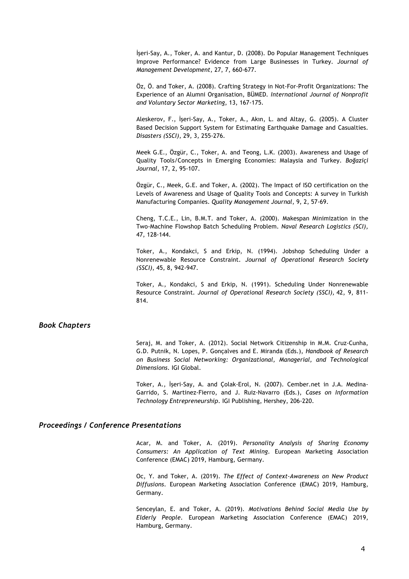İşeri-Say, A., Toker, A. and Kantur, D. (2008). Do Popular Management Techniques Improve Performance? Evidence from Large Businesses in Turkey. *Journal of Management Development*, 27, 7, 660-677.

Öz, Ö. and Toker, A. (2008). Crafting Strategy in Not-For-Profit Organizations: The Experience of an Alumni Organisation, BÜMED*. International Journal of Nonprofit and Voluntary Sector Marketing*, 13, 167-175.

Aleskerov, F., İşeri-Say, A., Toker, A., Akın, L. and Altay, G. (2005). A Cluster Based Decision Support System for Estimating Earthquake Damage and Casualties. *Disasters (SSCI)*, 29, 3, 255-276.

Meek G.E., Özgür, C., Toker, A. and Teong, L.K. (2003). Awareness and Usage of Quality Tools/Concepts in Emerging Economies: Malaysia and Turkey. *Boğaziçi Journal*, 17, 2, 95-107.

Özgür, C., Meek, G.E. and Toker, A. (2002). The Impact of ISO certification on the Levels of Awareness and Usage of Quality Tools and Concepts: A survey in Turkish Manufacturing Companies. *Quality Management Journal*, 9, 2, 57-69.

Cheng, T.C.E., Lin, B.M.T. and Toker, A. (2000). Makespan Minimization in the Two-Machine Flowshop Batch Scheduling Problem. *Naval Research Logistics (SCI),*  47, 128-144.

Toker, A., Kondakci, S and Erkip, N. (1994). Jobshop Scheduling Under a Nonrenewable Resource Constraint. *Journal of Operational Research Society (SSCI)*, 45, 8, 942-947.

Toker, A., Kondakci, S and Erkip, N. (1991). Scheduling Under Nonrenewable Resource Constraint. *Journal of Operational Research Society (SSCI),* 42, 9, 811- 814.

#### *Book Chapters*

Seraj, M. and Toker, A. (2012). Social Network Citizenship in M.M. Cruz-Cunha, G.D. Putnik, N. Lopes, P. Gonçalves and E. Miranda (Eds.), *Handbook of Research on Business Social Networking: Organizational, Managerial, and Technological Dimensions*. IGI Global.

Toker, A., İşeri-Say, A. and Çolak-Erol, N. (2007). Cember.net in J.A. Medina-Garrido, S. Martinez-Fierro, and J. Ruiz-Navarro (Eds.), *Cases on Information Technology Entrepreneurship*. IGI Publishing, Hershey, 206-220.

#### *Proceedings / Conference Presentations*

Acar, M. and Toker, A. (2019). *Personality Analysis of Sharing Economy Consumers: An Application of Text Mining*. European Marketing Association Conference (EMAC) 2019, Hamburg, Germany.

Oc, Y. and Toker, A. (2019). *The Effect of Context-Awareness on New Product Diffusions*. European Marketing Association Conference (EMAC) 2019, Hamburg, Germany.

Senceylan, E. and Toker, A. (2019). *Motivations Behind Social Media Use by Elderly People*. European Marketing Association Conference (EMAC) 2019, Hamburg, Germany.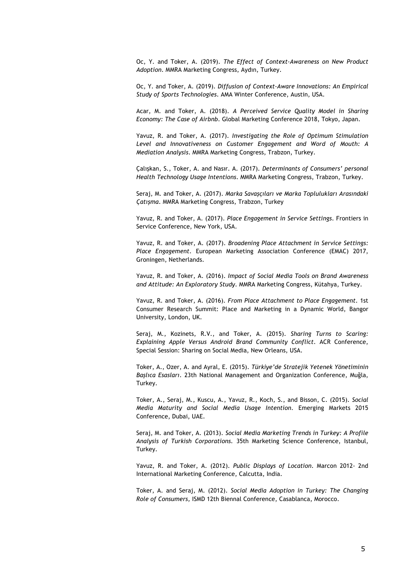Oc, Y. and Toker, A. (2019). *The Effect of Context-Awareness on New Product Adoption*. MMRA Marketing Congress, Aydın, Turkey.

Oc, Y. and Toker, A. (2019). *Diffusion of Context-Aware Innovations: An Empirical Study of Sports Technologies*. AMA Winter Conference, Austin, USA.

Acar, M. and Toker, A. (2018). *A Perceived Service Quality Model in Sharing Economy: The Case of Airbnb*. Global Marketing Conference 2018, Tokyo, Japan.

Yavuz, R. and Toker, A. (2017). *Investigating the Role of Optimum Stimulation Level and Innovativeness on Customer Engagement and Word of Mouth: A Mediation Analysis*. MMRA Marketing Congress, Trabzon, Turkey.

Çalışkan, S., Toker, A. and Nasır. A. (2017). *Determinants of Consumers' personal Health Technology Usage Intentions*. MMRA Marketing Congress, Trabzon, Turkey.

Seraj, M. and Toker, A. (2017). *Marka Savaşçıları ve Marka Toplulukları Arasındaki Çatışma*. MMRA Marketing Congress, Trabzon, Turkey

Yavuz, R. and Toker, A. (2017). *Place Engagement in Service Settings*. Frontiers in Service Conference, New York, USA.

Yavuz, R. and Toker, A. (2017). *Broadening Place Attachment in Service Settings: Place Engagement*. European Marketing Association Conference (EMAC) 2017, Groningen, Netherlands.

Yavuz, R. and Toker, A. (2016). *Impact of Social Media Tools on Brand Awareness and Attitude: An Exploratory Study*. MMRA Marketing Congress, Kütahya, Turkey.

Yavuz, R. and Toker, A. (2016). *From Place Attachment to Place Engagement*. 1st Consumer Research Summit: Place and Marketing in a Dynamic World, Bangor University, London, UK.

Seraj, M., Kozinets, R.V., and Toker, A. (2015). *Sharing Turns to Scaring: Explaining Apple Versus Android Brand Community Conflict*. ACR Conference, Special Session: Sharing on Social Media, New Orleans, USA.

Toker, A., Ozer, A. and Ayral, E. (2015). *Türkiye'de Stratejik Yetenek Yönetiminin Başlıca Esasları*. 23th National Management and Organization Conference, Muğla, Turkey.

Toker, A., Seraj, M., Kuscu, A., Yavuz, R., Koch, S., and Bisson, C. (2015). *Social Media Maturity and Social Media Usage Intention*. Emerging Markets 2015 Conference, Dubai, UAE.

Seraj, M. and Toker, A. (2013). *Social Media Marketing Trends in Turkey: A Profile Analysis of Turkish Corporations.* 35th Marketing Science Conference, Istanbul, Turkey.

Yavuz, R. and Toker, A. (2012). *Public Displays of Location*. Marcon 2012- 2nd International Marketing Conference, Calcutta, India.

Toker, A. and Seraj, M. (2012). *Social Media Adoption in Turkey: The Changing Role of Consumers,* ISMD 12th Biennal Conference, Casablanca, Morocco.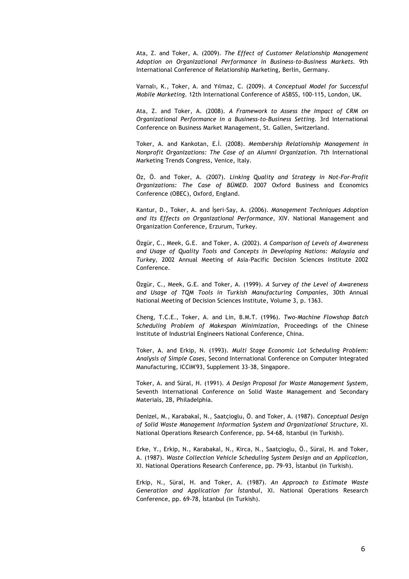Ata, Z. and Toker, A. (2009). *The Effect of Customer Relationship Management Adoption on Organizational Performance in Business-to-Business Markets*. 9th International Conference of Relationship Marketing, Berlin, Germany.

Varnalı, K., Toker, A. and Yılmaz, C. (2009). *A Conceptual Model for Successful Mobile Marketing*. 12th International Conference of ASBSS, 100-115, London, UK.

Ata, Z. and Toker, A. (2008). *A Framework to Assess the Impact of CRM on Organizational Performance in a Business-to-Business Setting.* 3rd International Conference on Business Market Management, St. Gallen, Switzerland.

Toker, A. and Kankotan, E.İ. (2008). *Membership Relationship Management in Nonprofit Organizations: The Case of an Alumni Organization.* 7th International Marketing Trends Congress, Venice, Italy.

Öz, Ö. and Toker, A. (2007). *Linking Quality and Strategy in Not-For-Profit Organizations: The Case of BÜMED.* 2007 Oxford Business and Economics Conference (OBEC), Oxford, England.

Kantur, D., Toker, A. and İşeri-Say, A. (2006). *Management Techniques Adoption and Its Effects on Organizational Performance*, XIV. National Management and Organization Conference, Erzurum, Turkey.

Özgür, C., Meek, G.E. and Toker, A. (2002). *A Comparison of Levels of Awareness and Usage of Quality Tools and Concepts in Developing Nations: Malaysia and Turkey,* 2002 Annual Meeting of Asia-Pacific Decision Sciences Institute 2002 Conference.

Özgür, C., Meek, G.E. and Toker, A. (1999). *A Survey of the Level of Awareness and Usage of TQM Tools in Turkish Manufacturing Companies*, 30th Annual National Meeting of Decision Sciences Institute, Volume 3, p. 1363.

Cheng, T.C.E., Toker, A. and Lin, B.M.T. (1996). *Two-Machine Flowshop Batch Scheduling Problem of Makespan Minimization*, Proceedings of the Chinese Institute of Industrial Engineers National Conference, China.

Toker, A. and Erkip, N. (1993). *Multi Stage Economic Lot Scheduling Problem: Analysis of Simple Cases,* Second International Conference on Computer Integrated Manufacturing, ICCIM'93, Supplement 33-38, Singapore.

Toker, A. and Süral, H. (1991). *A Design Proposal for Waste Management System*, Seventh International Conference on Solid Waste Management and Secondary Materials*,* 2B, Philadelphia.

Denizel, M., Karabakal, N., Saatçioglu, Ö. and Toker, A. (1987). *Conceptual Design of Solid Waste Management Information System and Organizational Structure*, XI. National Operations Research Conference, pp. 54-68, Istanbul (in Turkish).

Erke, Y., Erkip, N., Karabakal, N., Kirca, N., Saatçioglu, Ö., Süral, H. and Toker, A. (1987). *Waste Collection Vehicle Scheduling System Design and an Application,* XI. National Operations Research Conference, pp. 79-93, İstanbul (in Turkish).

Erkip, N., Süral, H. and Toker, A. (1987). *An Approach to Estimate Waste Generation and Application for İstanbul*, XI. National Operations Research Conference, pp. 69-78, İstanbul (in Turkish).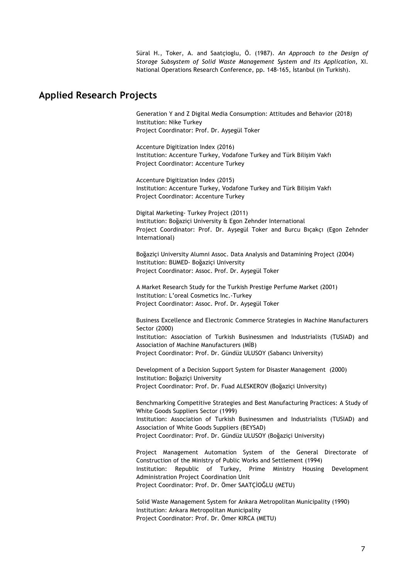Süral H., Toker, A. and Saatçioglu, Ö. (1987). *An Approach to the Design of Storage Subsystem of Solid Waste Management System and Its Application*, XI. National Operations Research Conference, pp. 148-165, İstanbul (in Turkish).

#### **Applied Research Projects**

Generation Y and Z Digital Media Consumption: Attitudes and Behavior (2018) Institution: Nike Turkey Project Coordinator: Prof. Dr. Ayşegül Toker

Accenture Digitization Index (2016) Institution: Accenture Turkey, Vodafone Turkey and Türk Bilişim Vakfı Project Coordinator: Accenture Turkey

Accenture Digitization Index (2015) Institution: Accenture Turkey, Vodafone Turkey and Türk Bilişim Vakfı Project Coordinator: Accenture Turkey

Digital Marketing- Turkey Project (2011) Institution: Boğaziçi University & Egon Zehnder International Project Coordinator: Prof. Dr. Ayşegül Toker and Burcu Bıçakçı (Egon Zehnder International)

Boğaziçi University Alumni Assoc. Data Analysis and Datamining Project (2004) Institution: BUMED- Boğaziçi University Project Coordinator: Assoc. Prof. Dr. Ayşegül Toker

A Market Research Study for the Turkish Prestige Perfume Market (2001) Institution: L'oreal Cosmetics Inc.-Turkey Project Coordinator: Assoc. Prof. Dr. Ayşegül Toker

Business Excellence and Electronic Commerce Strategies in Machine Manufacturers Sector (2000) Institution: Association of Turkish Businessmen and Industrialists (TUSIAD) and Association of Machine Manufacturers (MİB) Project Coordinator: Prof. Dr. Gündüz ULUSOY (Sabancı University)

Development of a Decision Support System for Disaster Management (2000) Institution: Boğaziçi University Project Coordinator: Prof. Dr. Fuad ALESKEROV (Boğaziçi University)

Benchmarking Competitive Strategies and Best Manufacturing Practices: A Study of White Goods Suppliers Sector (1999) Institution: Association of Turkish Businessmen and Industrialists (TUSIAD) and Association of White Goods Suppliers (BEYSAD) Project Coordinator: Prof. Dr. Gündüz ULUSOY (Boğaziçi University)

Project Management Automation System of the General Directorate of Construction of the Ministry of Public Works and Settlement (1994) Institution: Republic of Turkey, Prime Ministry Housing Development Administration Project Coordination Unit Project Coordinator: Prof. Dr. Ömer SAATÇİOĞLU (METU)

Solid Waste Management System for Ankara Metropolitan Municipality (1990) Institution: Ankara Metropolitan Municipality Project Coordinator: Prof. Dr. Ömer KIRCA (METU)